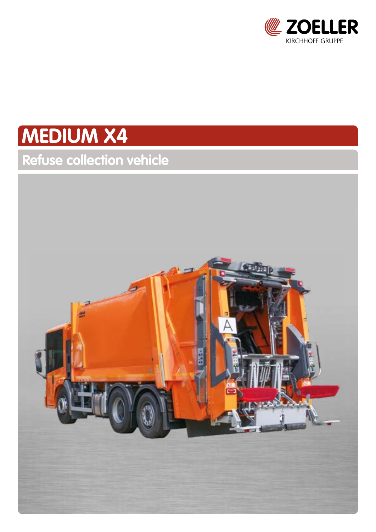

# **MEDIUM X4**

# **Refuse collection vehicle**

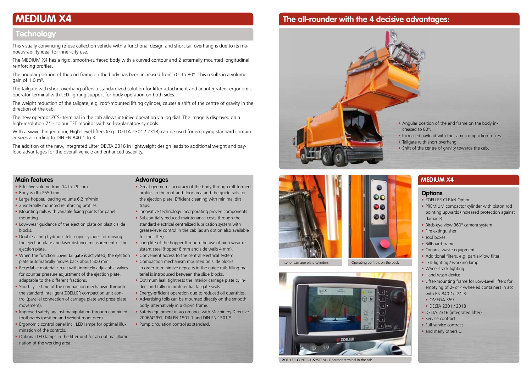## **The all-rounder with the 4 decisive advantages:**







Interior carriage plate cylinders **Operating controls on the body** 

This visually convincing refuse collection vehicle with a functional design and short tail overhang is due to its manoeuvrability ideal for inner-city use.

The angular position of the end frame on the body has been increased from 70° to 80°. This results in a volume gain of  $1.0 \text{ m}^3$ .

The MEDIUM X4 has a rigid, smooth-surfaced body with a curved contour and 2 externally mounted longitudinal reinforcing profiles.

The tailgate with short overhang offers a standardized solution for lifter attachment and an integrated, ergonomic operator terminal with LED lighting support for body operation on both sides.

The weight reduction of the tailgate, e.g. roof-mounted lifting cylinder, causes a shift of the centre of gravity in the direction of the cab.

The new operator ZCS- terminal in the cab allows intuitive operation via jog dial. The image is displayed on a high-resolution 7" - colour TFT monitor with self-explanatory symbols.

With a swivel hinged door, High-Level lifters (e.g.: DELTA 2301 / 2318) can be used for emptying standard container sizes according to DIN EN 840-1 to 3.

The addition of the new, integrated Lifter DELTA 2316 in lightweight design leads to additional weight and payload advantages for the overall vehicle and enhanced usability.

- Effective volume from 14 to 29 cbm.
- Body width 2550 mm.
- Large hopper, loading volume 6.2 m<sup>3</sup>/min.
- 2 externally mounted reinforcing profiles.
- Mounting rails with variable fixing points for panel mounting.
- Low-wear guidance of the ejection plate on plastic slide blocks.
- Double-acting hydraulic telescopic cylinder for moving the ejection plate and laser-distance measurement of the ejection plate.
- When the function Lower tailgate is activated, the ejection plate automatically moves back about 500 mm.
- Recyclable material circuit with infinitely adjustable valves for counter pressure adjustment of the ejection plate, adaptable to the different fractions.
- Short cycle time of the compaction mechanism through the standard intelligent ZOELLER compaction unit control (parallel connection of carriage plate and press plate movement).
- Improved safety against manipulation through combined footboards (position and weight monitored).
- Ergonomic control panel incl. LED lamps for optimal illumination of the controls.
- Optional LED lamps in the lifter unit for an optimal illumination of the working area.
- Great geometric accuracy of the body through roll-formed profiles in the roof and floor area and the guide rails for the ejection plate. Efficient cleaning with minimal dirt traps.
- Innovative technology incorporating proven components.
- Substantially reduced maintenance costs through the standard electrical centralized lubrication system with grease-level control in the cab (as an option also available for the lifter).
- Long life of the hopper through the use of high wear-resistant steel (hopper 8 mm and side walls 4 mm).
- Convenient access to the central electrical system.
- Compaction mechanism mounted on slide blocks. In order to minimize deposits in the guide rails filling material is introduced between the slide blocks.
- Optimum leak tightness the interior carriage plate cylinders and fully circumferential tailgate seals.
- Energy-efficient operation due to reduced oil quantities.
- Advertising foils can be mounted directly on the smooth body, alternatively in a clip-in frame.
- Safety equipment in accordance with Machinery Directive 2006/42/EG, DIN EN 1501-1 and DIN EN 1501-5.
- Pump circulation control as standard.

### **Main features**

- ZOELLER CLEAN Option
- PREMIUM compactor cylinder with piston rod pointing upwards (increased protection against damage)
- Birds-eye view 360° camera system
- Fire extinguisher
- Tool boxes
- Billboard frame
- Organic waste equipment
- Additional filters, e.g. partial-flow filter
- LED lighting / working lamp
- Wheel-track lighting
- Hand-wash device
- Lifter-mounting frame for Low-Level lifters for emptying of 2- or 4-wheeled containers in acc. with EN 840-1/ -2/ -3:
- OMEGA 359
- DELTA 2301 / 2318
- DELTA 2316 (integrated lifter)
- Service contract
- Full-service contract
- and many others ...

### **Advantages**

### **MEDIUM X4**

### **Options**

# **MEDIUM X4**

### **Technology**



**Z**OELLER-**C**ONTROL-**S**YSTEM - Operator terminal in the cab

• Angular position of the end frame on the body increased to 80°.

- Increased payload with the same compaction forces
- Tailgate with short overhang
- Shift of the centre of gravity towards the cab.